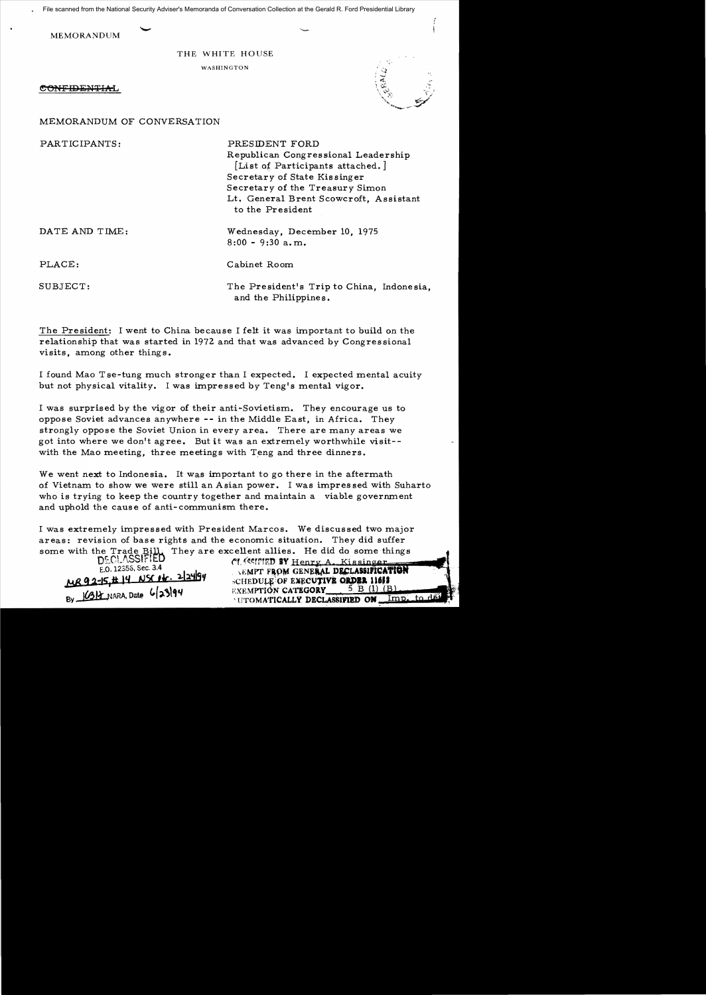File scanned from the National Security Adviser's Memoranda of Conversation Collection at the Gerald R. Ford Presidential Library

MEMORANDUM

# THE WHITE HOUSE

WASHINGTON

CONFIDENTIAL



MEMORANDUM OF CONVERSATION

PARTICIPANTS: PRESIDENT FORD

Republican Congressional Leadership [List of Participants attached.] Secretary of State Kissinger Secretary of the Treasury Simon Lt. General Brent Scowcroft, Assistant to the President

DATE AND TIME: Wednesday, December 10, 1975 8:00 - 9:30 a.m.

PLACE: Cabinet Room

SUBJECT: The President's Trip to China, Indonesia, and the Philippines.

The President: I went to China because I felt it was important to build on the relationship that was started in 1972 and that was advanced by Congressional visits, among other things.

I found Mao T se-tung much stronger than I expected. I expected mental acuity but not physical vitality. I was impressed by Teng's mental vigor.

I was surprised by the vigor of their anti-Sovietism. They encourage us to oppose Soviet advances anywhere -- in the Middle East, in Africa. They strongly oppose the Soviet Union in every area. There are many areas we got into where we don't agree. But it was an extremely worthwhile visit with the Mao meeting, three meetings with Teng and three dinners.

We went next to Indonesia. It was important to go there in the aftermath of Vietnam to show we were still an Asian power. I was impressed with Suharto who is trying to keep the country together and maintain a viable government and uphold the cause of anti-communism there.

I was extremely impressed with President Marcos. We discussed two major areas: revision of base rights and the economic situation. They did suffer some with the Trade Bill. They are excellent allies. He did do some things<br> $DECLASSFFED$ 

DECLASSIFIED **fl enty A....Kissinger**<br>E.O. 12356, Sec. 3.4<br>**CLASSIFICATION** MR92-15,#14 NSC14. 2124199 SCHEDULE OF EXECUTIVE ORDER 11613<br>By 1691 RXEMPTION CATEGORY 5 B (1) (B) IIIOMATICALLY DECLASSIFIED ON Imp. to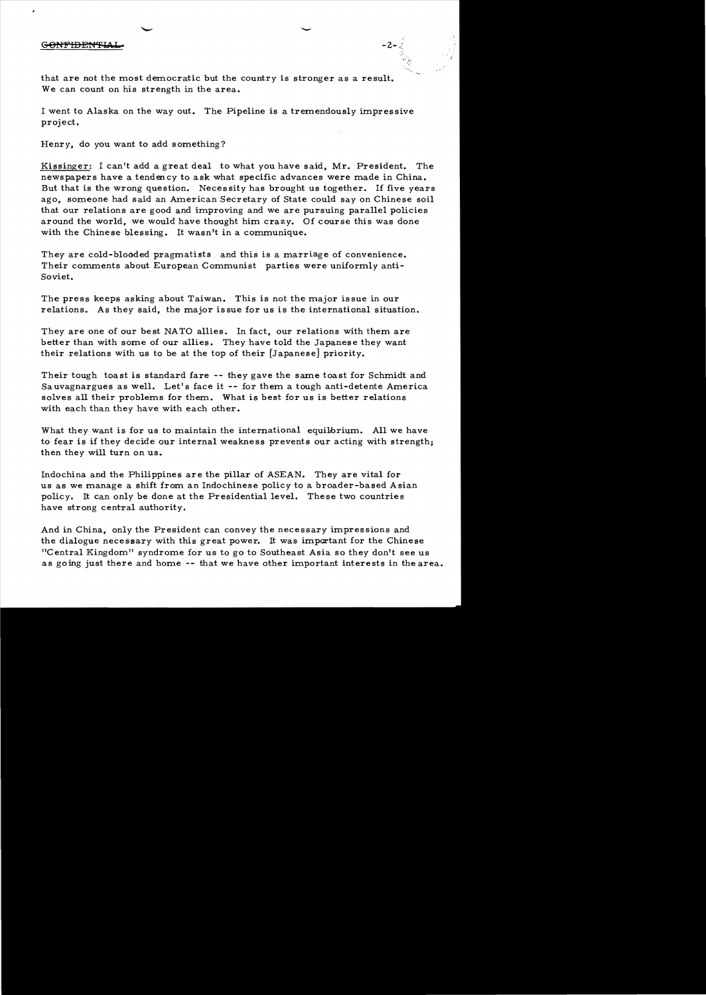# GONFIDENTIA

that are not the most democratic but the country is stronger as a result. We can count on his strength in the area.

I went to Alaska on the way out. The Pipeline is a tremendously impressive project.

-

 $-2 -$  :

Henry, do you want to add something?

Kissinger: I can't add a great deal to what you have said, Mr. President. The newspapers have a tendency to ask what specific advances were made in China. But that is the wrong question. Necessity has brought us together. If five years ago, someone had said an American Secretary of State could say on Chinese soil that our relations are good and improving and we are pursuing parallel policies around the world, we would have thought him crazy. Of course this was done with the Chinese blessing. It wasn't in a communique.

They are cold-blooded pragmatists and this is a marriage of convenience. Their comments about European Communist parties were uniformly anti-Soviet.

The press keeps asking about Taiwan. This is not the major issue in our relations. As they said, the major is sue for us is the international situation.

They are one of our best NATO allies. In fact, our relations with them are better than with some of our allies. They have told the Japanese they want their relations with us to be at the top of their [Japanese] priority.

Their tough toast is standard fare -- they gave the same toast for Schmidt and Sa uvagnargues as well. Let's face it  $-$  for them a tough anti-detente America solves all their problems for them. What is best for us is better relations with each than they have with each other.

What they want is for us to maintain the international equilbrium. All we have to fear is if they decide our internal weakness prevents our acting with strength; then they will turn on us.

Indochina and the Philippines are the pillar of ASEAN. They are vital for us as we manage a shift from an Indochinese policy to a broader-based Asian policy. It can only be done at the Presidential level. These two countries have strong central authority.

And in China, only the President can convey the necessary impressions and the dialogue necessary with this great power. It was important for the Chinese "Central Kingdom" syndrome for us to go to Southeast Asia so they don't see us as going just there and home -- that we have other important interests in the area.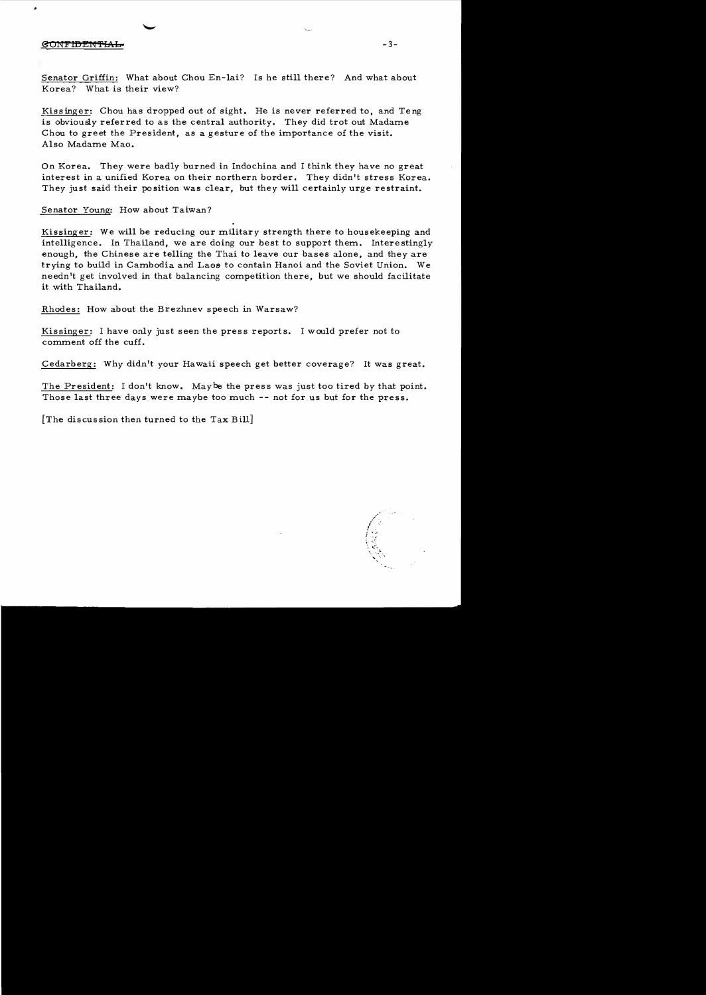#### **GONFIDENTIAL**

Senator Griffin: What about Chou En-lai? Is he still there? And what about Korea? What is their view?

Kissinger: Chou has dropped out of sight. He is never referred to, and Teng is obviously referred to as the central authority. They did trot out Madame Chou to greet the President, as a gesture of the importance of the visit. Also Madame Mao.

On Korea. They were badly burned in Indochina and I think they have no great interest in a unified Korea on their northern border. They didn't stress Korea. They just said their position was clear, but they will certainly urge restraint.

Senator Young: How about Taiwan?

Kissinger: We will be reducing our military strength there to housekeeping and intelligence. In Thailand, we are doing our best to support them. Interestingly enough, the Chinese are telling the Thai to leave our bases alone, and they are trying to build in Cambodia and Laos to contain Hanoi and the Soviet Union. We needn't get involved in that balancing competition there, but we should facilitate it with Thailand.

Rhodes: How about the Brezhnev speech in Warsaw?

Kissinger: I have only just seen the press reports. I would prefer not to comment off the cuff.

Cedarberg: Why didn't your Hawaii speech get better coverage? It was great.

The President: I don't know. *Maybe* the press was just too tired *by* that point. Those last three days were maybe too much -- not for us but for the press.

[The discussion then turned to the Tax Bill]

 $-3-$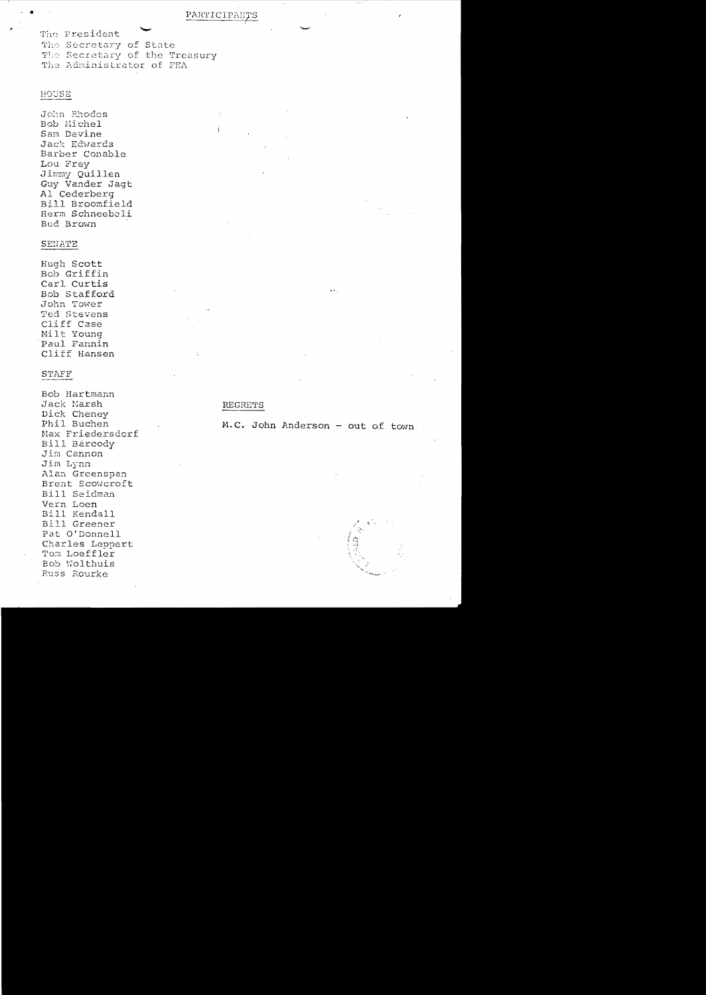# PARTICIPANTS

The President The Secretary of State The Secretary of the Treasury The Administrator of FEA

# HOUSE

John Rhodes Bob Michel Sam Devine Jack Edwards Barber Conable Lou Frey Jimmy Quillen Guy Vander Jagt Al Cederberg Bill Broomfield Herm Schneebeli Bud Brown

#### SENATE

Hugh Scott Bob Griffin Carl Curtis Bob Stafford John Tower Ted Stevens Cliff Case Milt Young Paul Fannin Cliff Hansen

### **STAFF**

Bob Hartmann Jack Marsh Dick Cheney Phil Buchen Max Friedersdorf Bill Barcody Jim Cannon Jim Lynn Alan Greenspan Brent Scowcroft Bill Seidman Vern Loen Bill Kendall Bill Greener Pat O'Donnell Charles Leopert Tom Loeffler Bob Wolthuis Russ Rourke

### **REGRETS**

M.C. John Anderson - out of town.

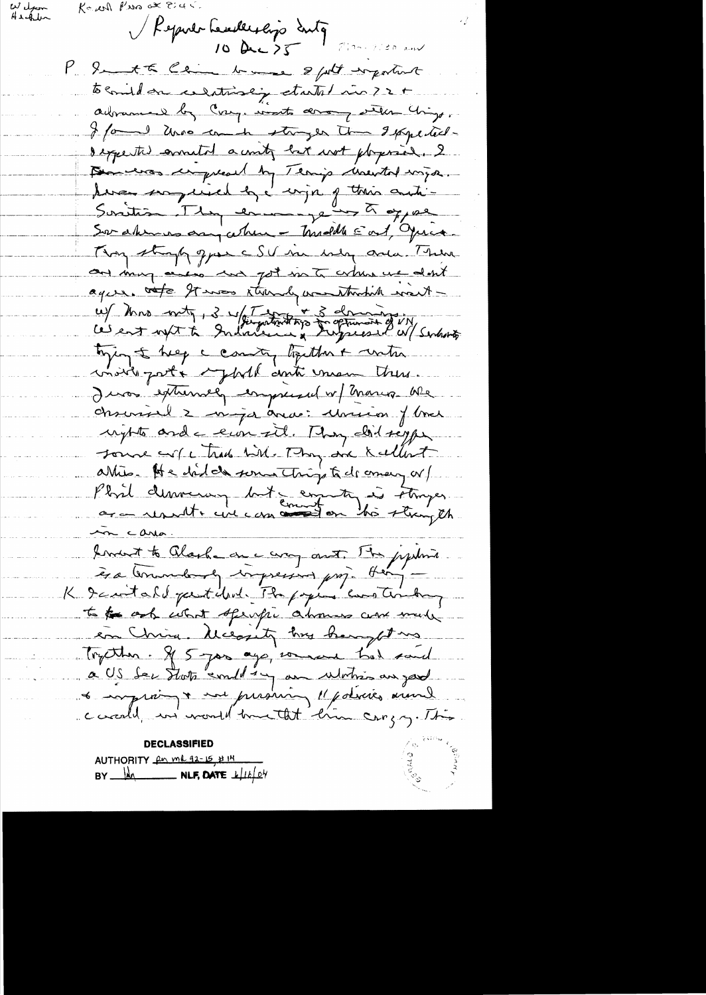Welfam Ke will Pers at Eight.

Reputerheuslessip contg des 1850 en  $10 \text{ Av.}5$ 

P. Sent the China branches & fort important to comidan celestrialy started in 22+ adrammed by Cong. worts arrange with Chings. I found who can in stranger time I pape techdespected annular a unity but wot physician. I Demerson compressed by Tenip unertal wigo. Suriture son peine les l'enjoing trois autres Sor aherros any atre - Tradelle East, Quia. Thoughtingly great SV in why and Them and many access we got me to when we don't ague. rote It was strandy wanthrobit want-W/ Mrs with, 3 w/ the patriot type of the most of UN, tying to help a country together & water moire parte sphill anti unan there. I was extremely empressed or Thangs We chronoil 2 maja avai Moricon flores rights and a con sit. They did signed source of ctrade bith. They are kallent Phril democracy but comments is stronger m carlo. lement to Clarke on a comparat. The jegetime èsa termedande impressor prop. Her -K Icartald partiled The papier continuon to the only what sperific about care music en China. Meegity has hear the Tryther. If 5 year ago, would had said a US der Statz "emploien au Motion au jard a emproi a un produir 11 policies avenue coordel, in month time that there cangry. This

**DECLASSIFIED** AUTHORITY for me 92-15 # 14 BY  $M$  NLF, DATE  $k|16|04$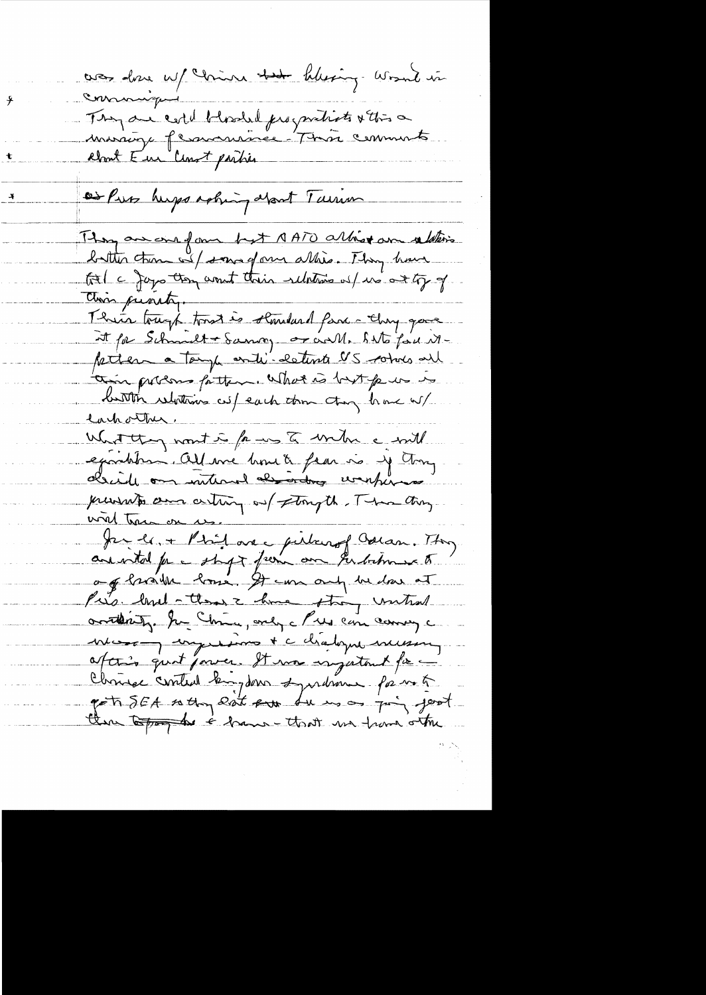was done up china that blessing would in commique ⊁ They are certif blooded progratists & this a t or Puss hups asking about Turin They are one form byt AATO allist an relative batter turn wil some of our allies. They have tol a Japo ton annot their relations of us at ty of Thin tough toust is slauded favor they gave it par Schmilt + Samon, or call. Sato for Mpetter a tamp anti-estima US comes all an presso fatter. What is but put is<br>button relations cut each donn chang have w/ West they nont is fame to write a will examples. All me home to fear is y trong prevents aux arting out storyth. There day<br>with transverse. 11 avec pilour of Collan. They anisted for a staget from one subcomments og brøytte bosse. It can only be don at Pies land - them I have they until orthity. In China, only che can coming a mes a mysières d'abopte messent Chrise control kingdom syndrom for mot pot SEA setting east put du mon point there topog the i have that we have other